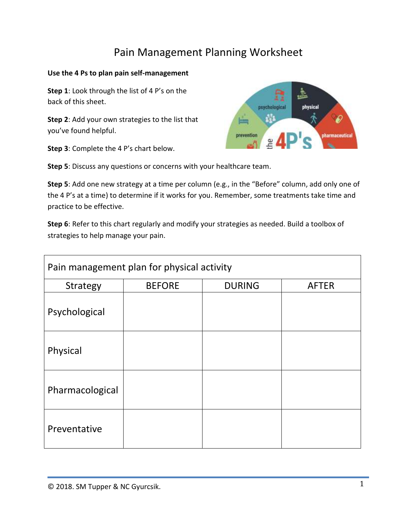## Pain Management Planning Worksheet

## **Use the 4 Ps to plan pain self-management**

**Step 1**: Look through the list of 4 P's on the back of this sheet.

**Step 2**: Add your own strategies to the list that you've found helpful.

**Step 3**: Complete the 4 P's chart below.



**Step 5**: Discuss any questions or concerns with your healthcare team.

**Step 5**: Add one new strategy at a time per column (e.g., in the "Before" column, add only one of the 4 P's at a time) to determine if it works for you. Remember, some treatments take time and practice to be effective.

**Step 6**: Refer to this chart regularly and modify your strategies as needed. Build a toolbox of strategies to help manage your pain.

| Pain management plan for physical activity |               |               |              |
|--------------------------------------------|---------------|---------------|--------------|
| <b>Strategy</b>                            | <b>BEFORE</b> | <b>DURING</b> | <b>AFTER</b> |
| Psychological                              |               |               |              |
| Physical                                   |               |               |              |
| Pharmacological                            |               |               |              |
| Preventative                               |               |               |              |